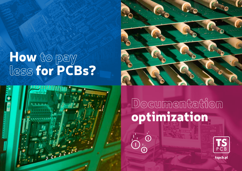# How to pay less for PCBs?



**Documentation** optimization

 $\dot{\bigcirc}$ 



tspcb.pl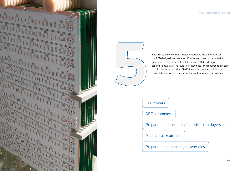

5

The first stage of contract implementation is the elaboration of the PCB design documentation. Precise and clear documentation guarantees that the circuits will be in line with the design assumptions, as any inaccuracies extend the time required to prepare the circuits for production. Clarifying doubts requires additional consultations, both on the part of the contractor and the customer.

File formats

DRC parameters

Preparation of the outline and silkscreen layers

Mechanical treatment

Preparation and naming of layer files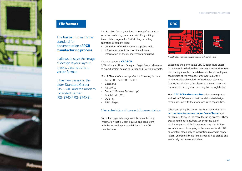# File formats **DRC**

# The Gerber format is the standard for documentation of PCB manufacturing process.

It allows to save the image of design layers: layout, masks, descriptions in vector format.

It has two versions: the older Standard Gerber (RS-274D and the modern Extended Gerber (RS-274X/ RS-274X2).

The Excellon format, version 2, is most often used to save the machining parameters (drilling, milling). A complete program for CNC drilling or milling operations should include:

- definitions of the diameters of applied tools,
- information about the coordinate format.
- information on the measurement units used.

### The most popular **CAD PCB**

PCB software (Altium Designer, Eagle, Protel) allows us to export project design to Gerber and Excellon formats.

Most PCB manufacturers prefer the following formats:

- Gerber RS-274X/ RS-274X2,
- Excellon2,
- RS-274D,
- Dynamic Process Format \*.dpf,
- GraphiCode GWK,
- $ODE++$ .
- BRD (Eagle).

# Characteristics of correct documentation

Correctly prepared designs are those containing information that is unambiguous and consistent with the technological capabilities of the PCB manufacturer.



Areas that do not meet the permissible DRC parameters

Exceeding the permissible DRC (Design Rule Check) parameters is a design flaw that may prevent the circuit from being feasible. They determine the technological capabilities of the manufacturer in terms of the minimum allowable widths of the layout elements (tracks, inscriptions), the distance between them and the sizes of the rings surrounding the through holes.

Most CAD PCB software suites allow you to preset and follow DRC rules so that the elaborated design remains in line with the manufacturer's capabilities.

When designing the layout, we must remember that narrow indentations on the surface of layout are particularly tricky in the manufacturing process. These areas should be filled, because the principle of minimum permissible distances also applies to the layout elements belonging to the same network. DRC parameters also apply to inscriptions placed in copper layers. Characters that are too small can be etched and eventually become unreadable.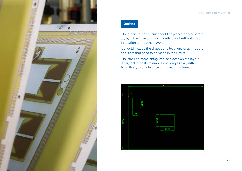

# **Outline**

The outline of the circuit should be placed on a separate layer, in the form of a closed outline and without offsets in relation to the other layers.

It should include the shapes and locations of all the cuts and slots that need to be made in the circuit.

The circuit dimensioning, can be placed on the layout layer, including its tolerances, as long as they differ from the typical tolerance of the manufacturer.

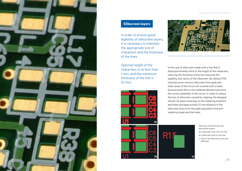

# Silkscreen layers

In order to ensure good legibility of silkscreen layers, it is necessary to maintain the appropriate size of characters and the thickness of the lines.

Optimal height of the characters is no less than 1 mm, and the minimum thickness of the line is 0.1 mm.





In the case of silkscreen made with a line that is disproportionately thick to the height of the characters, reducing the thickness of the line improves the legibility and clarity of the silkscreen. By default PCB manufacturers remove silkscreen from pads and other areas of the circuit not covered with a mask, because paint left on the soldered elements prevents the correct assembly of the circuit. In order to reduce the loss of silkscreen caused by clipping, the designer should not place markings on the soldering locations and holes and keep at least 0.1 mm distance of the silkscreen lines from the pads exposed on the antisoldering mask and the holes.



Silkscreen line thickness and description quality: a) a silkscreen with 0.25 mm line, b) a silkscreen with  $0.1$  mm line c) view of the silkscreen cut by the SMD pad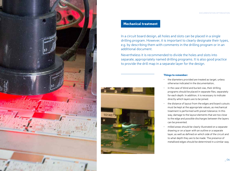

# Mechanical treatment

In a circuit board design, all holes and slots can be placed in a single drilling program. However, it is important to clearly designate their types, e.g. by describing them with comments in the drilling program or in an additional document.

Nevertheless it is recommended to divide the holes and slots into separate, appropriately named drilling programs. It is also good practice to provide the drill map in a separate layer for the design.



#### Things to remember:

- the diameters provided are treated as target, unless otherwise indicated in the documentation,
- in the case of blind and buried vias, their drilling programs should be placed in separate files, separately for each depth. In addition, it is necessary to indicate directly which layers are to be joined.
- the distance of layout from the edges and board cutouts must be kept at the appropriate values, as mechanical treatment is performed with preset tolerance. In this way, damage to the layout elements that are too close to the edge and possible discharges between the layers can be prevented.
- milled areas should be clearly illustrated on a separate drawing or on a layer with an outline or a separate layer, as well as defined on which side of the circuit and to what depth they are to be made. The presence of metallized edges should be determined in a similar way.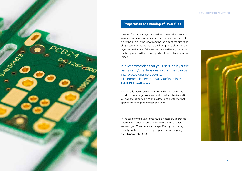

# Preparation and naming of layer files

Images of individual layers should be generated in the same scale and without mutual shifts. The common standard is to place the layers in the view from the top side of the circuit. In simple terms, it means that all the inscriptions placed on the layers from the side of the elements should be legible, while the text placed on the soldering side will be visible in a mirror image.

It is recommended that you use such layer file names and/or extensions so that they can be interpreted unambiguously. File nomenclature is usually defined in the CAD PCB software.

Most of this type of suites, apart from files in Gerber and Excellon formats, generates an additional text file (report) with a list of exported files and a description of the format applied for saving coordinates and units.

In the case of multi-layer circuits, it is necessary to provide information about the order in which the internal layers are arranged. Their order can be specified by numbering directly on the layers or the appropriate file naming (e.g. \*.L1, \*.L2, \*.L3, \*.L4, etc.).